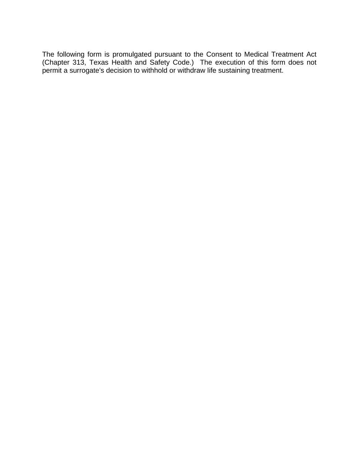The following form is promulgated pursuant to the Consent to Medical Treatment Act (Chapter 313, Texas Health and Safety Code.) The execution of this form does not permit a surrogate's decision to withhold or withdraw life sustaining treatment.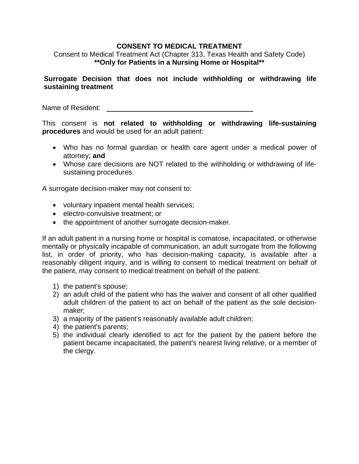## **CONSENT TO MEDICAL TREATMENT**

Consent to Medical Treatment Act (Chapter 313, Texas Health and Safety Code) **\*\*Only for Patients in a Nursing Home or Hospital\*\*** 

## **Surrogate Decision that does not include withholding or withdrawing life sustaining treatment**

Name of Resident:

This consent is **not related to withholding or withdrawing life-sustaining procedures** and would be used for an adult patient:

- Who has no formal guardian or health care agent under a medical power of attorney; **and**
- Whose care decisions are NOT related to the withholding or withdrawing of lifesustaining procedures.

A surrogate decision-maker may not consent to:

- voluntary inpatient mental health services;
- electro-convulsive treatment; or
- the appointment of another surrogate decision-maker.

If an adult patient in a nursing home or hospital is comatose, incapacitated, or otherwise mentally or physically incapable of communication, an adult surrogate from the following list, in order of priority, who has decision-making capacity, is available after a reasonably diligent inquiry, and is willing to consent to medical treatment on behalf of the patient, may consent to medical treatment on behalf of the patient:

- 1) the patient's spouse;
- 2) an adult child of the patient who has the waiver and consent of all other qualified adult children of the patient to act on behalf of the patient as the sole decisionmaker;
- 3) a majority of the patient's reasonably available adult children;
- 4) the patient's parents;
- 5) the individual clearly identified to act for the patient by the patient before the patient became incapacitated, the patient's nearest living relative, or a member of the clergy.